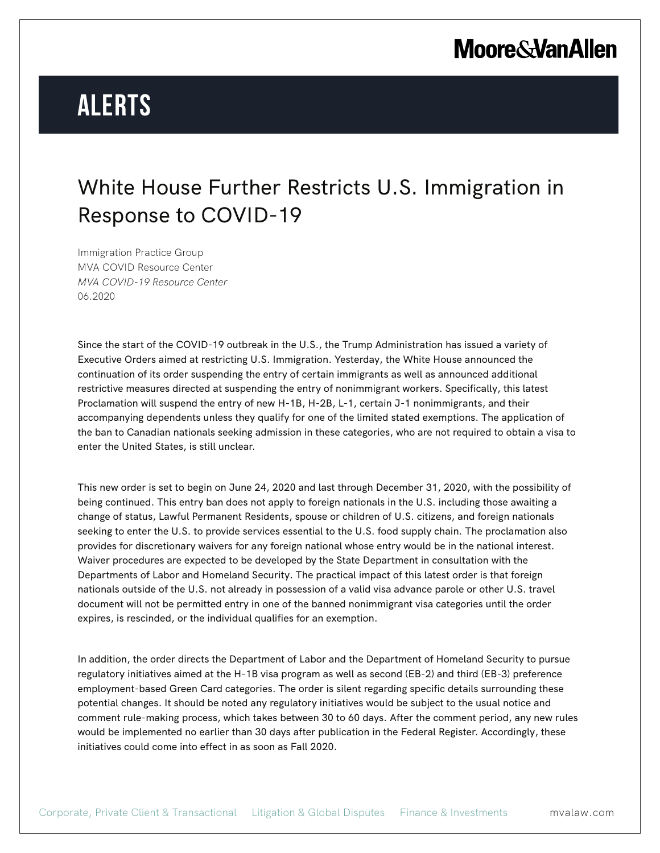## **Moore & Van Allen**

# **Alerts**

### White House Further Restricts U.S. Immigration in Response to COVID-19

Immigration Practice Group MVA COVID Resource Center *MVA COVID-19 Resource Center* 06.2020

Since the start of the COVID-19 outbreak in the U.S., the Trump Administration has issued a variety of Executive Orders aimed at restricting U.S. Immigration. Yesterday, the White House announced the continuation of its order suspending the entry of certain immigrants as well as announced additional restrictive measures directed at suspending the entry of nonimmigrant workers. Specifically, this latest Proclamation will suspend the entry of new H-1B, H-2B, L-1, certain J-1 nonimmigrants, and their accompanying dependents unless they qualify for one of the limited stated exemptions. The application of the ban to Canadian nationals seeking admission in these categories, who are not required to obtain a visa to enter the United States, is still unclear.

This new order is set to begin on June 24, 2020 and last through December 31, 2020, with the possibility of being continued. This entry ban does not apply to foreign nationals in the U.S. including those awaiting a change of status, Lawful Permanent Residents, spouse or children of U.S. citizens, and foreign nationals seeking to enter the U.S. to provide services essential to the U.S. food supply chain. The proclamation also provides for discretionary waivers for any foreign national whose entry would be in the national interest. Waiver procedures are expected to be developed by the State Department in consultation with the Departments of Labor and Homeland Security. The practical impact of this latest order is that foreign nationals outside of the U.S. not already in possession of a valid visa advance parole or other U.S. travel document will not be permitted entry in one of the banned nonimmigrant visa categories until the order expires, is rescinded, or the individual qualifies for an exemption.

In addition, the order directs the Department of Labor and the Department of Homeland Security to pursue regulatory initiatives aimed at the H-1B visa program as well as second (EB-2) and third (EB-3) preference employment-based Green Card categories. The order is silent regarding specific details surrounding these potential changes. It should be noted any regulatory initiatives would be subject to the usual notice and comment rule-making process, which takes between 30 to 60 days. After the comment period, any new rules would be implemented no earlier than 30 days after publication in the Federal Register. Accordingly, these initiatives could come into effect in as soon as Fall 2020.